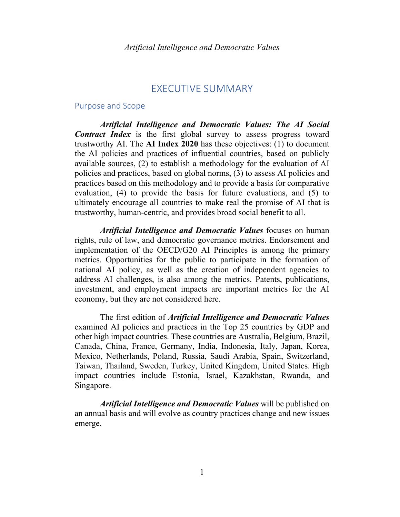# EXECUTIVE SUMMARY

#### Purpose and Scope

*Artificial Intelligence and Democratic Values: The AI Social Contract Index* is the first global survey to assess progress toward trustworthy AI. The **AI Index 2020** has these objectives: (1) to document the AI policies and practices of influential countries, based on publicly available sources, (2) to establish a methodology for the evaluation of AI policies and practices, based on global norms, (3) to assess AI policies and practices based on this methodology and to provide a basis for comparative evaluation, (4) to provide the basis for future evaluations, and (5) to ultimately encourage all countries to make real the promise of AI that is trustworthy, human-centric, and provides broad social benefit to all.

*Artificial Intelligence and Democratic Values* focuses on human rights, rule of law, and democratic governance metrics. Endorsement and implementation of the OECD/G20 AI Principles is among the primary metrics. Opportunities for the public to participate in the formation of national AI policy, as well as the creation of independent agencies to address AI challenges, is also among the metrics. Patents, publications, investment, and employment impacts are important metrics for the AI economy, but they are not considered here.

The first edition of *Artificial Intelligence and Democratic Values* examined AI policies and practices in the Top 25 countries by GDP and other high impact countries. These countries are Australia, Belgium, Brazil, Canada, China, France, Germany, India, Indonesia, Italy, Japan, Korea, Mexico, Netherlands, Poland, Russia, Saudi Arabia, Spain, Switzerland, Taiwan, Thailand, Sweden, Turkey, United Kingdom, United States. High impact countries include Estonia, Israel, Kazakhstan, Rwanda, and Singapore.

*Artificial Intelligence and Democratic Values* will be published on an annual basis and will evolve as country practices change and new issues emerge.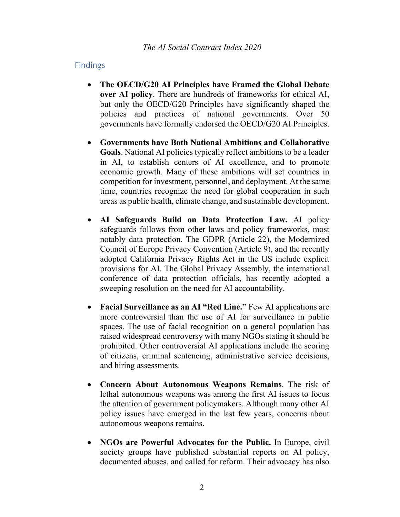## Findings

- **The OECD/G20 AI Principles have Framed the Global Debate over AI policy**. There are hundreds of frameworks for ethical AI, but only the OECD/G20 Principles have significantly shaped the policies and practices of national governments. Over 50 governments have formally endorsed the OECD/G20 AI Principles.
- **Governments have Both National Ambitions and Collaborative Goals**. National AI policies typically reflect ambitions to be a leader in AI, to establish centers of AI excellence, and to promote economic growth. Many of these ambitions will set countries in competition for investment, personnel, and deployment. At the same time, countries recognize the need for global cooperation in such areas as public health, climate change, and sustainable development.
- **AI Safeguards Build on Data Protection Law.** AI policy safeguards follows from other laws and policy frameworks, most notably data protection. The GDPR (Article 22), the Modernized Council of Europe Privacy Convention (Article 9), and the recently adopted California Privacy Rights Act in the US include explicit provisions for AI. The Global Privacy Assembly, the international conference of data protection officials, has recently adopted a sweeping resolution on the need for AI accountability.
- **Facial Surveillance as an AI "Red Line."** Few AI applications are more controversial than the use of AI for surveillance in public spaces. The use of facial recognition on a general population has raised widespread controversy with many NGOs stating it should be prohibited. Other controversial AI applications include the scoring of citizens, criminal sentencing, administrative service decisions, and hiring assessments.
- **Concern About Autonomous Weapons Remains**. The risk of lethal autonomous weapons was among the first AI issues to focus the attention of government policymakers. Although many other AI policy issues have emerged in the last few years, concerns about autonomous weapons remains.
- **NGOs are Powerful Advocates for the Public.** In Europe, civil society groups have published substantial reports on AI policy, documented abuses, and called for reform. Their advocacy has also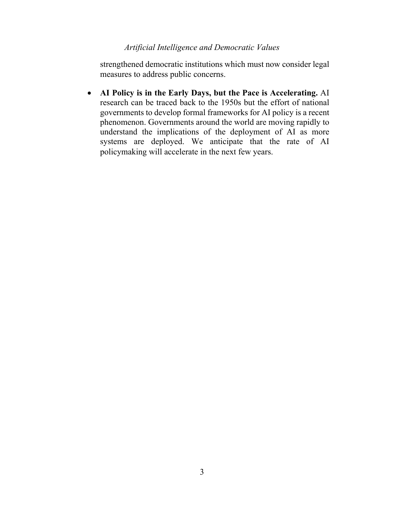## *Artificial Intelligence and Democratic Values*

strengthened democratic institutions which must now consider legal measures to address public concerns.

• **AI Policy is in the Early Days, but the Pace is Accelerating.** AI research can be traced back to the 1950s but the effort of national governments to develop formal frameworks for AI policy is a recent phenomenon. Governments around the world are moving rapidly to understand the implications of the deployment of AI as more systems are deployed. We anticipate that the rate of AI policymaking will accelerate in the next few years.